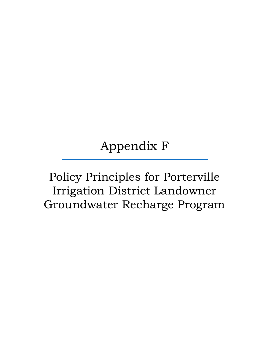## Appendix F

## Policy Principles for Porterville Irrigation District Landowner Groundwater Recharge Program